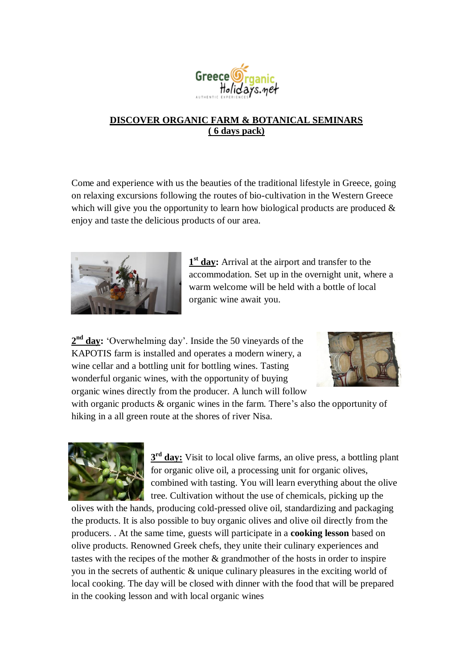

## **DISCOVER ORGANIC FARM & BOTANICAL SEMINARS ( 6 days pack)**

Come and experience with us the beauties of the traditional lifestyle in Greece, going on relaxing excursions following the routes of bio-cultivation in the Western Greece which will give you the opportunity to learn how biological products are produced  $\&$ enjoy and taste the delicious products of our area.



1<sup>st</sup> day: Arrival at the airport and transfer to the accommodation. Set up in the overnight unit, where a warm welcome will be held with a bottle of local organic wine await you.

2<sup>nd</sup> day: 'Overwhelming day'. Inside the 50 vineyards of the KAPOTIS farm is installed and operates a modern winery, a wine cellar and a bottling unit for bottling wines. Tasting wonderful organic wines, with the opportunity of buying organic wines directly from the producer. A lunch will follow



with organic products  $\&$  organic wines in the farm. There's also the opportunity of hiking in a all green route at the shores of river Nisa.



**3<sup>rd</sup> day:** Visit to local olive farms, an olive press, a bottling plant for organic olive oil, a processing unit for organic olives, combined with tasting. You will learn everything about the olive tree. Cultivation without the use of chemicals, picking up the

olives with the hands, producing cold-pressed olive oil, standardizing and packaging the products. It is also possible to buy organic olives and olive oil directly from the producers. . At the same time, guests will participate in a **cooking lesson** based on olive products. Renowned Greek chefs, they unite their culinary experiences and tastes with the recipes of the mother & grandmother of the hosts in order to inspire you in the secrets of authentic & unique culinary pleasures in the exciting world of local cooking. The day will be closed with dinner with the food that will be prepared in the cooking lesson and with local organic wines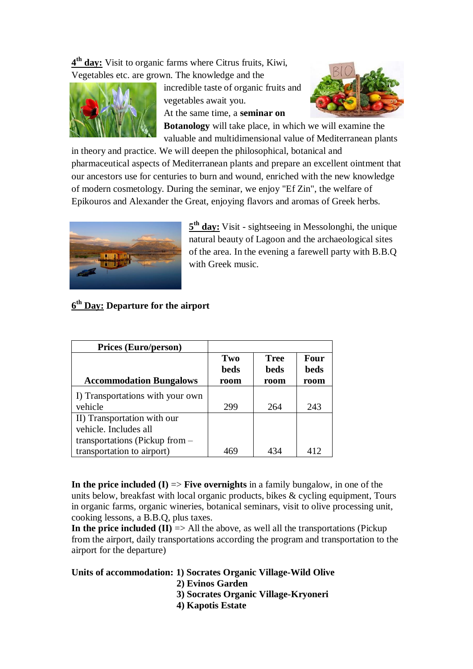**4 th day:** Visit to organic farms where Citrus fruits, Kiwi, Vegetables etc. are grown. The knowledge and the



incredible taste of organic fruits and vegetables await you.

At the same time, a **seminar on** 



**Botanology** will take place, in which we will examine the valuable and multidimensional value of Mediterranean plants

in theory and practice. We will deepen the philosophical, botanical and pharmaceutical aspects of Mediterranean plants and prepare an excellent ointment that our ancestors use for centuries to burn and wound, enriched with the new knowledge of modern cosmetology. During the seminar, we enjoy "Ef Zin", the welfare of Epikouros and Alexander the Great, enjoying flavors and aromas of Greek herbs.



**5<sup>th</sup> day:** Visit - sightseeing in Messolonghi, the unique natural beauty of Lagoon and the archaeological sites of the area. In the evening a farewell party with B.B.Q with Greek music.

## **6 th Day: Departure for the airport**

| <b>Prices (Euro/person)</b>      |             |             |      |
|----------------------------------|-------------|-------------|------|
|                                  | Two         | <b>Tree</b> | Four |
|                                  | <b>beds</b> | <b>beds</b> | beds |
| <b>Accommodation Bungalows</b>   | room        | room        | room |
| I) Transportations with your own |             |             |      |
| vehicle                          | 299         | 264         | 243  |
| II) Transportation with our      |             |             |      |
| vehicle. Includes all            |             |             |      |
| transportations (Pickup from $-$ |             |             |      |
| transportation to airport)       |             | 434         | 412  |

**In the price included (I) => Five overnights** in a family bungalow, in one of the units below, breakfast with local organic products, bikes & cycling equipment, Tours in organic farms, organic wineries, botanical seminars, visit to olive processing unit, cooking lessons, a B.B.Q, plus taxes.

**In the price included (II)**  $\Rightarrow$  All the above, as well all the transportations (Pickup) from the airport, daily transportations according the program and transportation to the airport for the departure)

**Units of accommodation: 1) Socrates Organic Village-Wild Olive**

- **2) Evinos Garden 3) Socrates Organic Village-Kryoneri**
- **4) Kapotis Estate**